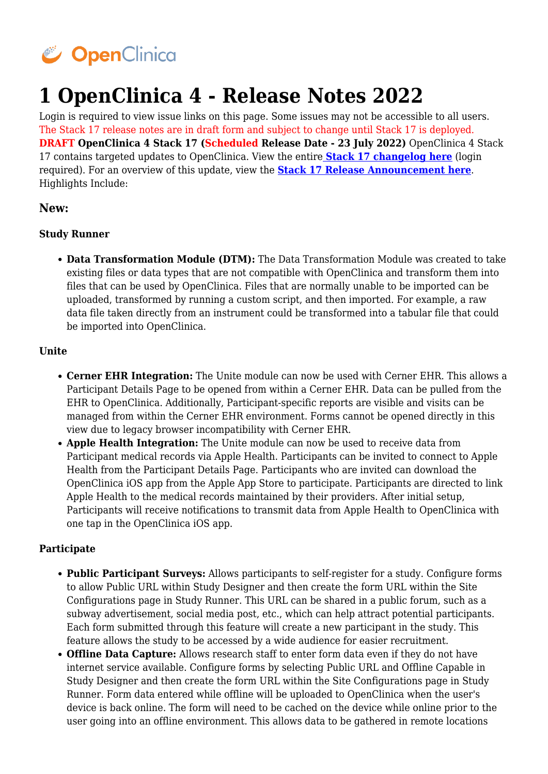

# **1 OpenClinica 4 - Release Notes 2022**

Login is required to view issue links on this page. Some issues may not be accessible to all users. The Stack 17 release notes are in draft form and subject to change until Stack 17 is deployed. **DRAFT OpenClinica 4 Stack 17 (Scheduled Release Date - 23 July 2022)** OpenClinica 4 Stack 17 contains targeted updates to OpenClinica. View the entire **[Stack 17 changelog here](https://jira.openclinica.com/projects/OC/versions/13212)** (login required). For an overview of this update, view the **[Stack 17 Release Announcement here](https://openclinica.helpscoutdocs.com/article/80-stack-17)**. Highlights Include:

## **New:**

#### **Study Runner**

**Data Transformation Module (DTM):** The Data Transformation Module was created to take existing files or data types that are not compatible with OpenClinica and transform them into files that can be used by OpenClinica. Files that are normally unable to be imported can be uploaded, transformed by running a custom script, and then imported. For example, a raw data file taken directly from an instrument could be transformed into a tabular file that could be imported into OpenClinica.

#### **Unite**

- **Cerner EHR Integration:** The Unite module can now be used with Cerner EHR. This allows a Participant Details Page to be opened from within a Cerner EHR. Data can be pulled from the EHR to OpenClinica. Additionally, Participant-specific reports are visible and visits can be managed from within the Cerner EHR environment. Forms cannot be opened directly in this view due to legacy browser incompatibility with Cerner EHR.
- **Apple Health Integration:** The Unite module can now be used to receive data from Participant medical records via Apple Health. Participants can be invited to connect to Apple Health from the Participant Details Page. Participants who are invited can download the OpenClinica iOS app from the Apple App Store to participate. Participants are directed to link Apple Health to the medical records maintained by their providers. After initial setup, Participants will receive notifications to transmit data from Apple Health to OpenClinica with one tap in the OpenClinica iOS app.

#### **Participate**

- **Public Participant Surveys:** Allows participants to self-register for a study. Configure forms to allow Public URL within Study Designer and then create the form URL within the Site Configurations page in Study Runner. This URL can be shared in a public forum, such as a subway advertisement, social media post, etc., which can help attract potential participants. Each form submitted through this feature will create a new participant in the study. This feature allows the study to be accessed by a wide audience for easier recruitment.
- **Offline Data Capture:** Allows research staff to enter form data even if they do not have internet service available. Configure forms by selecting Public URL and Offline Capable in Study Designer and then create the form URL within the Site Configurations page in Study Runner. Form data entered while offline will be uploaded to OpenClinica when the user's device is back online. The form will need to be cached on the device while online prior to the user going into an offline environment. This allows data to be gathered in remote locations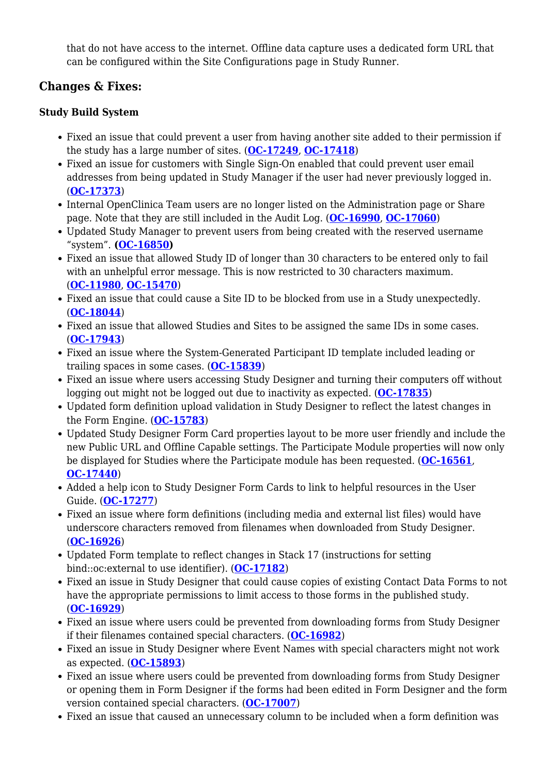that do not have access to the internet. Offline data capture uses a dedicated form URL that can be configured within the Site Configurations page in Study Runner.

# **Changes & Fixes:**

## **Study Build System**

- Fixed an issue that could prevent a user from having another site added to their permission if the study has a large number of sites. (**[OC-17249](https://jira.openclinica.com/browse/OC-17249)**, **[OC-17418](https://jira.openclinica.com/browse/OC-17418)**)
- Fixed an issue for customers with Single Sign-On enabled that could prevent user email addresses from being updated in Study Manager if the user had never previously logged in. (**[OC-17373](https://jira.openclinica.com/browse/OC-17373)**)
- Internal OpenClinica Team users are no longer listed on the Administration page or Share page. Note that they are still included in the Audit Log. (**[OC-16990](https://jira.openclinica.com/browse/OC-16990)**, **[OC-17060](https://jira.openclinica.com/browse/OC-17060)**)
- Updated Study Manager to prevent users from being created with the reserved username "system". **([OC-16850\)](https://jira.openclinica.com/browse/OC-16850)**
- Fixed an issue that allowed Study ID of longer than 30 characters to be entered only to fail with an unhelpful error message. This is now restricted to 30 characters maximum. (**[OC-11980](https://jira.openclinica.com/browse/OC-11980)**, **[OC-15470](https://jira.openclinica.com/browse/OC-15470)**)
- Fixed an issue that could cause a Site ID to be blocked from use in a Study unexpectedly. (**[OC-18044](https://jira.openclinica.com/browse/OC-18044)**)
- Fixed an issue that allowed Studies and Sites to be assigned the same IDs in some cases. (**[OC-17943](https://jira.openclinica.com/browse/OC-17943)**)
- Fixed an issue where the System-Generated Participant ID template included leading or trailing spaces in some cases. (**[OC-15839](https://jira.openclinica.com/browse/OC-15839)**)
- Fixed an issue where users accessing Study Designer and turning their computers off without logging out might not be logged out due to inactivity as expected. (**[OC-17835](https://jira.openclinica.com/browse/OC-17835)**)
- Updated form definition upload validation in Study Designer to reflect the latest changes in the Form Engine. (**[OC-15783](https://jira.openclinica.com/browse/OC-15783)**)
- Updated Study Designer Form Card properties layout to be more user friendly and include the new Public URL and Offline Capable settings. The Participate Module properties will now only be displayed for Studies where the Participate module has been requested. (**[OC-16561](https://jira.openclinica.com/browse/OC-16561)**, **[OC-17440](https://jira.openclinica.com/browse/OC-17440)**)
- Added a help icon to Study Designer Form Cards to link to helpful resources in the User Guide. (**[OC-17277](https://jira.openclinica.com/browse/OC-17277)**)
- Fixed an issue where form definitions (including media and external list files) would have underscore characters removed from filenames when downloaded from Study Designer. (**[OC-16926](https://jira.openclinica.com/browse/OC-16926)**)
- Updated Form template to reflect changes in Stack 17 (instructions for setting bind::oc:external to use identifier). (**[OC-17182](https://jira.openclinica.com/browse/OC-17182)**)
- Fixed an issue in Study Designer that could cause copies of existing Contact Data Forms to not have the appropriate permissions to limit access to those forms in the published study. (**[OC-16929](https://jira.openclinica.com/browse/OC-16929)**)
- Fixed an issue where users could be prevented from downloading forms from Study Designer if their filenames contained special characters. (**[OC-16982](https://jira.openclinica.com/browse/OC-16982)**)
- Fixed an issue in Study Designer where Event Names with special characters might not work as expected. (**[OC-15893](https://jira.openclinica.com/browse/OC-15893)**)
- Fixed an issue where users could be prevented from downloading forms from Study Designer or opening them in Form Designer if the forms had been edited in Form Designer and the form version contained special characters. (**[OC-17007](https://jira.openclinica.com/browse/OC-17007)**)
- Fixed an issue that caused an unnecessary column to be included when a form definition was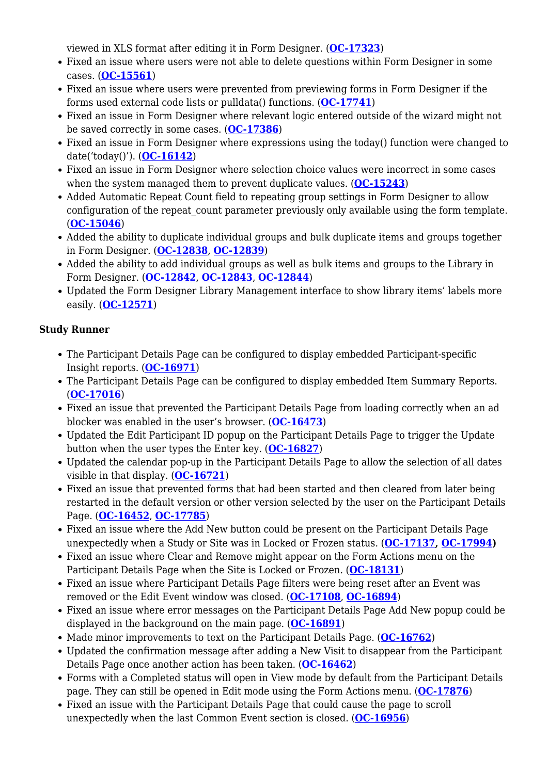viewed in XLS format after editing it in Form Designer. (**[OC-17323](https://jira.openclinica.com/browse/OC-17323)**)

- Fixed an issue where users were not able to delete questions within Form Designer in some cases. (**[OC-15561](https://jira.openclinica.com/browse/OC-15561)**)
- Fixed an issue where users were prevented from previewing forms in Form Designer if the forms used external code lists or pulldata() functions. (**[OC-17741](https://jira.openclinica.com/browse/OC-17741)**)
- Fixed an issue in Form Designer where relevant logic entered outside of the wizard might not be saved correctly in some cases. (**[OC-17386](https://jira.openclinica.com/browse/OC-17386)**)
- Fixed an issue in Form Designer where expressions using the today() function were changed to date('today()'). (**[OC-16142](https://jira.openclinica.com/browse/OC-16142)**)
- Fixed an issue in Form Designer where selection choice values were incorrect in some cases when the system managed them to prevent duplicate values. (**[OC-15243](https://jira.openclinica.com/browse/OC-15243)**)
- Added Automatic Repeat Count field to repeating group settings in Form Designer to allow configuration of the repeat count parameter previously only available using the form template. (**[OC-15046](https://jira.openclinica.com/browse/OC-15046)**)
- Added the ability to duplicate individual groups and bulk duplicate items and groups together in Form Designer. (**[OC-12838](https://jira.openclinica.com/browse/OC-12838)**, **[OC-12839](https://jira.openclinica.com/browse/OC-12839)**)
- Added the ability to add individual groups as well as bulk items and groups to the Library in Form Designer. (**[OC-12842](https://jira.openclinica.com/browse/OC-12842)**, **[OC-12843](https://jira.openclinica.com/browse/OC-12843)**, **[OC-12844](https://jira.openclinica.com/browse/OC-12844)**)
- Updated the Form Designer Library Management interface to show library items' labels more easily. (**[OC-12571](https://jira.openclinica.com/browse/OC-12571)**)

## **Study Runner**

- The Participant Details Page can be configured to display embedded Participant-specific Insight reports. (**[OC-16971](https://jira.openclinica.com/browse/OC-16971)**)
- The Participant Details Page can be configured to display embedded Item Summary Reports. (**[OC-17016](https://jira.openclinica.com/browse/OC-17016)**)
- Fixed an issue that prevented the Participant Details Page from loading correctly when an ad blocker was enabled in the user's browser. (**[OC-16473](https://jira.openclinica.com/browse/OC-16473)**)
- Updated the Edit Participant ID popup on the Participant Details Page to trigger the Update button when the user types the Enter key. (**[OC-16827](https://jira.openclinica.com/browse/OC-16827)**)
- Updated the calendar pop-up in the Participant Details Page to allow the selection of all dates visible in that display. (**[OC-16721](https://jira.openclinica.com/browse/OC-16721)**)
- Fixed an issue that prevented forms that had been started and then cleared from later being restarted in the default version or other version selected by the user on the Participant Details Page. (**[OC-16452](https://jira.openclinica.com/browse/OC-16452)**, **[OC-17785](https://jira.openclinica.com/browse/OC-17785)**)
- Fixed an issue where the Add New button could be present on the Participant Details Page unexpectedly when a Study or Site was in Locked or Frozen status. (**[OC-17137,](https://jira.openclinica.com/browse/OC-17137) [OC-17994\)](https://jira.openclinica.com/browse/OC-17994)**
- Fixed an issue where Clear and Remove might appear on the Form Actions menu on the Participant Details Page when the Site is Locked or Frozen. (**[OC-18131](https://jira.openclinica.com/browse/OC-18131)**)
- Fixed an issue where Participant Details Page filters were being reset after an Event was removed or the Edit Event window was closed. (**[OC-17108](https://jira.openclinica.com/browse/OC-17108)**, **[OC-16894](https://jira.openclinica.com/browse/OC-16894)**)
- Fixed an issue where error messages on the Participant Details Page Add New popup could be displayed in the background on the main page. (**[OC-16891](https://jira.openclinica.com/browse/OC-16891)**)
- Made minor improvements to text on the Participant Details Page. ([OC-16762](https://jira.openclinica.com/browse/OC-16762))
- Updated the confirmation message after adding a New Visit to disappear from the Participant Details Page once another action has been taken. (**[OC-16462](https://jira.openclinica.com/browse/OC-16462)**)
- Forms with a Completed status will open in View mode by default from the Participant Details page. They can still be opened in Edit mode using the Form Actions menu. (**[OC-17876](https://jira.openclinica.com/browse/OC-17876)**)
- Fixed an issue with the Participant Details Page that could cause the page to scroll unexpectedly when the last Common Event section is closed. (**[OC-16956](https://jira.openclinica.com/browse/OC-16956)**)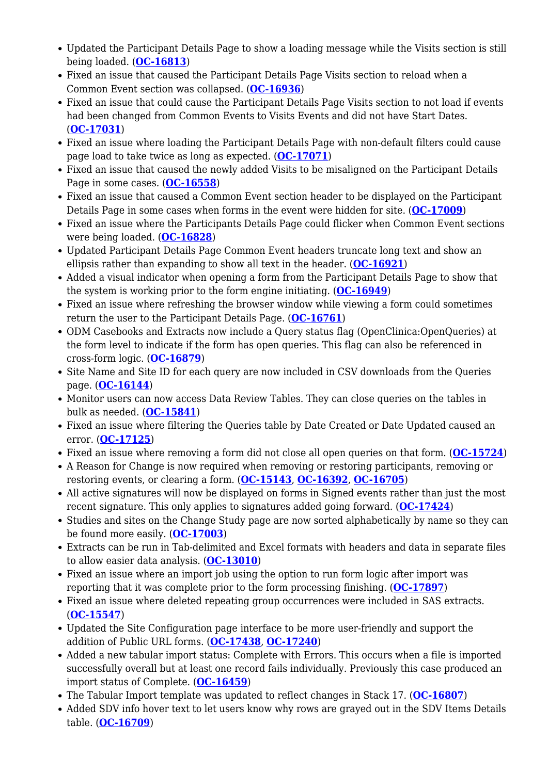- Updated the Participant Details Page to show a loading message while the Visits section is still being loaded. (**[OC-16813](https://jira.openclinica.com/browse/OC-16813)**)
- Fixed an issue that caused the Participant Details Page Visits section to reload when a Common Event section was collapsed. (**[OC-16936](https://jira.openclinica.com/browse/OC-16936)**)
- Fixed an issue that could cause the Participant Details Page Visits section to not load if events had been changed from Common Events to Visits Events and did not have Start Dates. (**[OC-17031](https://jira.openclinica.com/browse/OC-17031)**)
- Fixed an issue where loading the Participant Details Page with non-default filters could cause page load to take twice as long as expected. (**[OC-17071](https://jira.openclinica.com/browse/OC-17071)**)
- Fixed an issue that caused the newly added Visits to be misaligned on the Participant Details Page in some cases. (**[OC-16558](https://jira.openclinica.com/browse/OC-16558)**)
- Fixed an issue that caused a Common Event section header to be displayed on the Participant Details Page in some cases when forms in the event were hidden for site. (**[OC-17009](https://jira.openclinica.com/browse/OC-17009)**)
- Fixed an issue where the Participants Details Page could flicker when Common Event sections were being loaded. (**[OC-16828](https://jira.openclinica.com/browse/OC-16828)**)
- Updated Participant Details Page Common Event headers truncate long text and show an ellipsis rather than expanding to show all text in the header. (**[OC-16921](https://jira.openclinica.com/browse/OC-16921)**)
- Added a visual indicator when opening a form from the Participant Details Page to show that the system is working prior to the form engine initiating. (**[OC-16949](https://jira.openclinica.com/browse/OC-16949)**)
- Fixed an issue where refreshing the browser window while viewing a form could sometimes return the user to the Participant Details Page. (**[OC-16761](https://jira.openclinica.com/browse/OC-16761)**)
- ODM Casebooks and Extracts now include a Query status flag (OpenClinica:OpenQueries) at the form level to indicate if the form has open queries. This flag can also be referenced in cross-form logic. (**[OC-16879](https://jira.openclinica.com/browse/OC-16879)**)
- Site Name and Site ID for each query are now included in CSV downloads from the Queries page. (**[OC-16144](https://jira.openclinica.com/browse/OC-16144)**)
- Monitor users can now access Data Review Tables. They can close queries on the tables in bulk as needed. (**[OC-15841](https://jira.openclinica.com/browse/OC-15841)**)
- Fixed an issue where filtering the Queries table by Date Created or Date Updated caused an error. (**[OC-17125](https://jira.openclinica.com/browse/OC-17125)**)
- Fixed an issue where removing a form did not close all open queries on that form. (**[OC-15724](https://jira.openclinica.com/browse/OC-15724)**)
- A Reason for Change is now required when removing or restoring participants, removing or restoring events, or clearing a form. (**[OC-15143](https://jira.openclinica.com/browse/OC-15143)**, **[OC-16392](https://jira.openclinica.com/browse/OC-16392)**, **[OC-16705](https://jira.openclinica.com/browse/OC-16705)**)
- All active signatures will now be displayed on forms in Signed events rather than just the most recent signature. This only applies to signatures added going forward. (**[OC-17424](https://jira.openclinica.com/browse/OC-17424)**)
- Studies and sites on the Change Study page are now sorted alphabetically by name so they can be found more easily. (**[OC-17003](https://jira.openclinica.com/browse/OC-17003)**)
- Extracts can be run in Tab-delimited and Excel formats with headers and data in separate files to allow easier data analysis. (**[OC-13010](https://jira.openclinica.com/browse/OC-13010)**)
- Fixed an issue where an import job using the option to run form logic after import was reporting that it was complete prior to the form processing finishing. (**[OC-17897](https://jira.openclinica.com/browse/OC-17897)**)
- Fixed an issue where deleted repeating group occurrences were included in SAS extracts. (**[OC-15547](https://jira.openclinica.com/browse/OC-15547)**)
- Updated the Site Configuration page interface to be more user-friendly and support the addition of Public URL forms. (**[OC-17438](https://jira.openclinica.com/browse/OC-17438)**, **[OC-17240](https://jira.openclinica.com/browse/OC-17240)**)
- Added a new tabular import status: Complete with Errors. This occurs when a file is imported successfully overall but at least one record fails individually. Previously this case produced an import status of Complete. (**[OC-16459](https://jira.openclinica.com/browse/OC-16459)**)
- The Tabular Import template was updated to reflect changes in Stack 17. (**[OC-16807](https://jira.openclinica.com/browse/OC-16807)**)
- Added SDV info hover text to let users know why rows are grayed out in the SDV Items Details table. (**[OC-16709](https://jira.openclinica.com/browse/OC-16709)**)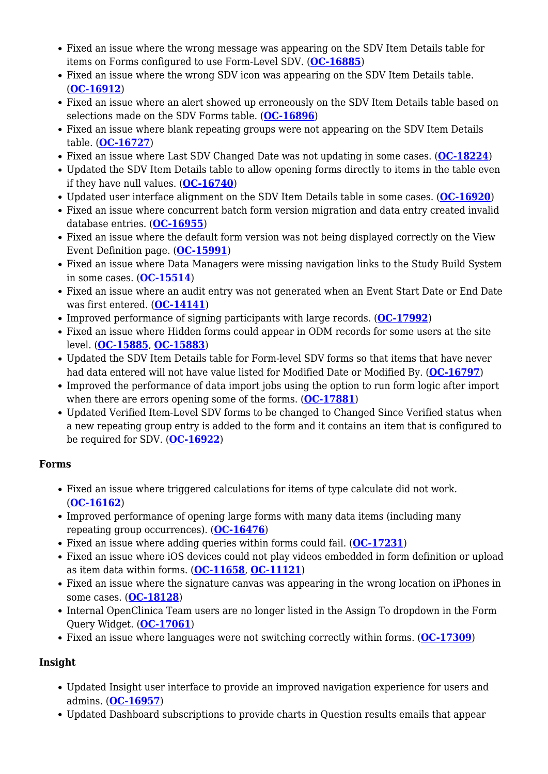- Fixed an issue where the wrong message was appearing on the SDV Item Details table for items on Forms configured to use Form-Level SDV. (**[OC-16885](https://jira.openclinica.com/browse/OC-16885)**)
- Fixed an issue where the wrong SDV icon was appearing on the SDV Item Details table. (**[OC-16912](https://jira.openclinica.com/browse/OC-16912)**)
- Fixed an issue where an alert showed up erroneously on the SDV Item Details table based on selections made on the SDV Forms table. (**[OC-16896](https://jira.openclinica.com/browse/OC-16896)**)
- Fixed an issue where blank repeating groups were not appearing on the SDV Item Details table. (**[OC-16727](https://jira.openclinica.com/browse/OC-16727)**)
- Fixed an issue where Last SDV Changed Date was not updating in some cases. (**[OC-18224](https://jira.openclinica.com/browse/OC-18224)**)
- Updated the SDV Item Details table to allow opening forms directly to items in the table even if they have null values. (**[OC-16740](https://jira.openclinica.com/browse/OC-16740)**)
- Updated user interface alignment on the SDV Item Details table in some cases. (**[OC-16920](https://jira.openclinica.com/browse/OC-16920)**)
- Fixed an issue where concurrent batch form version migration and data entry created invalid database entries. (**[OC-16955](https://jira.openclinica.com/browse/OC-16727)**)
- Fixed an issue where the default form version was not being displayed correctly on the View Event Definition page. (**[OC-15991](https://jira.openclinica.com/browse/OC-15991)**)
- Fixed an issue where Data Managers were missing navigation links to the Study Build System in some cases. (**[OC-15514](https://jira.openclinica.com/browse/OC-15514)**)
- Fixed an issue where an audit entry was not generated when an Event Start Date or End Date was first entered. (**[OC-14141](https://jira.openclinica.com/browse/OC-14141)**)
- Improved performance of signing participants with large records. (**[OC-17992](https://jira.openclinica.com/browse/OC-17992)**)
- Fixed an issue where Hidden forms could appear in ODM records for some users at the site level. (**[OC-15885](https://jira.openclinica.com/browse/OC-15885)**, **[OC-15883](https://jira.openclinica.com/browse/OC-15883)**)
- Updated the SDV Item Details table for Form-level SDV forms so that items that have never had data entered will not have value listed for Modified Date or Modified By. (**[OC-16797](https://jira.openclinica.com/browse/OC-16797)**)
- Improved the performance of data import jobs using the option to run form logic after import when there are errors opening some of the forms. (**[OC-17881](https://jira.openclinica.com/browse/OC-17881)**)
- Updated Verified Item-Level SDV forms to be changed to Changed Since Verified status when a new repeating group entry is added to the form and it contains an item that is configured to be required for SDV. (**[OC-16922](https://jira.openclinica.com/browse/OC-16922)**)

## **Forms**

- Fixed an issue where triggered calculations for items of type calculate did not work. (**[OC-16162](https://jira.openclinica.com/browse/OC-16162)**)
- Improved performance of opening large forms with many data items (including many repeating group occurrences). (**[OC-16476](https://jira.openclinica.com/browse/OC-16476)**)
- Fixed an issue where adding queries within forms could fail. (**[OC-17231](https://jira.openclinica.com/browse/OC-17231)**)
- Fixed an issue where iOS devices could not play videos embedded in form definition or upload as item data within forms. (**[OC-11658](https://jira.openclinica.com/browse/OC-11658)**, **[OC-11121](https://jira.openclinica.com/browse/OC-11121)**)
- Fixed an issue where the signature canvas was appearing in the wrong location on iPhones in some cases. (**[OC-18128](https://jira.openclinica.com/browse/OC-18128)**)
- Internal OpenClinica Team users are no longer listed in the Assign To dropdown in the Form Query Widget. (**[OC-17061](https://jira.openclinica.com/browse/OC-17061)**)
- Fixed an issue where languages were not switching correctly within forms. (**[OC-17309](https://jira.openclinica.com/browse/OC-17309)**)

# **Insight**

- Updated Insight user interface to provide an improved navigation experience for users and admins. (**[OC-16957](https://jira.openclinica.com/browse/OC-16957)**)
- Updated Dashboard subscriptions to provide charts in Question results emails that appear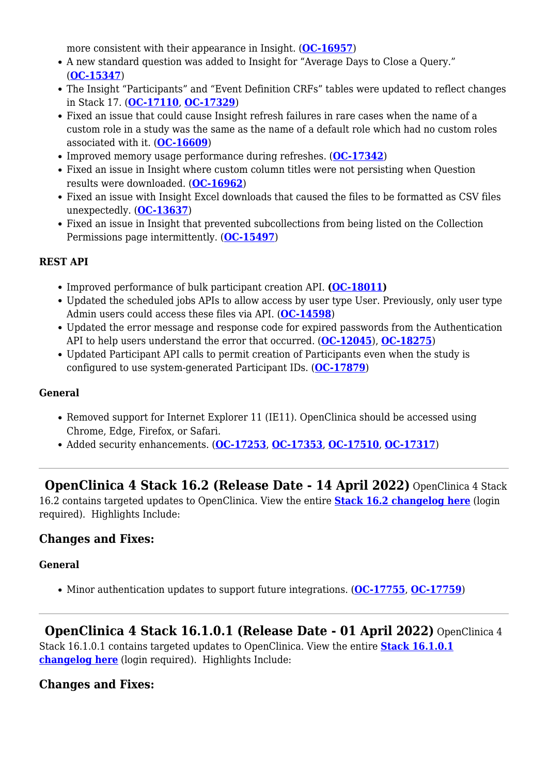more consistent with their appearance in Insight. (**[OC-16957](https://jira.openclinica.com/browse/OC-16957)**)

- A new standard question was added to Insight for "Average Days to Close a Query." (**[OC-15347](https://jira.openclinica.com/browse/OC-15347)**)
- The Insight "Participants" and "Event Definition CRFs" tables were updated to reflect changes in Stack 17. (**[OC-17110](https://jira.openclinica.com/browse/OC-17110)**, **[OC-17329](https://jira.openclinica.com/browse/OC-17329)**)
- Fixed an issue that could cause Insight refresh failures in rare cases when the name of a custom role in a study was the same as the name of a default role which had no custom roles associated with it. (**[OC-16609](https://jira.openclinica.com/browse/OC-16609)**)
- Improved memory usage performance during refreshes. (**[OC-17342](https://jira.openclinica.com/browse/OC-17342)**)
- Fixed an issue in Insight where custom column titles were not persisting when Ouestion results were downloaded. (**[OC-16962](https://jira.openclinica.com/browse/OC-16962)**)
- Fixed an issue with Insight Excel downloads that caused the files to be formatted as CSV files unexpectedly. (**[OC-13637](https://jira.openclinica.com/browse/OC-13637)**)
- Fixed an issue in Insight that prevented subcollections from being listed on the Collection Permissions page intermittently. (**[OC-15497](https://jira.openclinica.com/browse/OC-15497)**)

## **REST API**

- Improved performance of bulk participant creation API. **([OC-18011\)](https://jira.openclinica.com/browse/OC-18011)**
- Updated the scheduled jobs APIs to allow access by user type User. Previously, only user type Admin users could access these files via API. (**[OC-14598](https://jira.openclinica.com/browse/OC-14598)**)
- Updated the error message and response code for expired passwords from the Authentication API to help users understand the error that occurred. (**[OC-12045](https://jira.openclinica.com/browse/OC-12045)**), **[OC-18275](https://jira.openclinica.com/browse/OC-18275)**)
- Updated Participant API calls to permit creation of Participants even when the study is configured to use system-generated Participant IDs. (**[OC-17879](https://jira.openclinica.com/browse/OC-17879)**)

## **General**

- Removed support for Internet Explorer 11 (IE11). OpenClinica should be accessed using Chrome, Edge, Firefox, or Safari.
- Added security enhancements. (**[OC-17253](https://jira.openclinica.com/browse/OC-17253)**, **[OC-17353](https://jira.openclinica.com/browse/OC-17353)**, **[OC-17510](https://jira.openclinica.com/browse/OC-17510)**, **[OC-17317](https://jira.openclinica.com/browse/OC-17317)**)

 **OpenClinica 4 Stack 16.2 (Release Date - 14 April 2022)** OpenClinica 4 Stack 16.2 contains targeted updates to OpenClinica. View the entire **[Stack 16.2 changelog here](https://jira.openclinica.com/projects/OC/versions/13300)** (login required). Highlights Include:

# **Changes and Fixes:**

## **General**

Minor authentication updates to support future integrations. (**[OC-17755](https://jira.openclinica.com/browse/OC-17755)**, **[OC-17759](https://jira.openclinica.com/browse/OC-17759)**)

 **OpenClinica 4 Stack 16.1.0.1 (Release Date - 01 April 2022)** OpenClinica 4 Stack 16.1.0.1 contains targeted updates to OpenClinica. View the entire **[Stack 16.1.0.1](https://jira.openclinica.com/browse/OC/fixforversion/13309) [changelog here](https://jira.openclinica.com/browse/OC/fixforversion/13309)** (login required). Highlights Include:

# **Changes and Fixes:**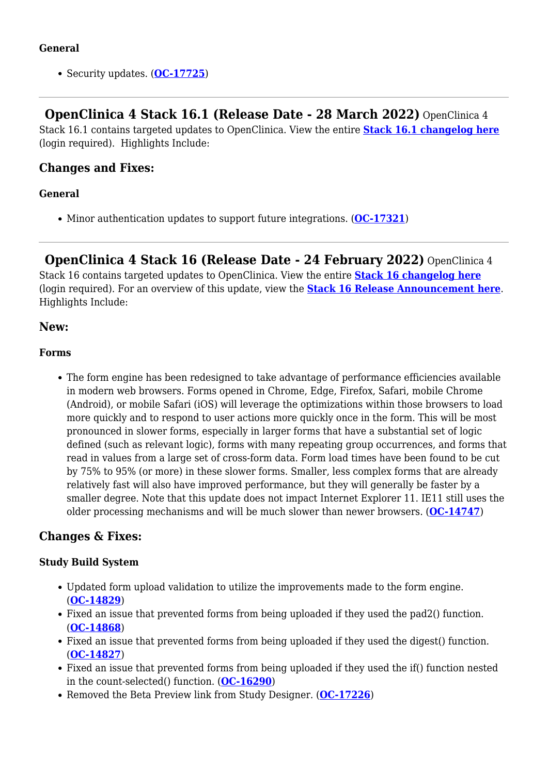## **General**

• Security updates. (**[OC-17725](https://jira.openclinica.com/browse/OC-17725)**)

 **OpenClinica 4 Stack 16.1 (Release Date - 28 March 2022)** OpenClinica 4 Stack 16.1 contains targeted updates to OpenClinica. View the entire **[Stack 16.1 changelog here](https://jira.openclinica.com/projects/OC/versions/13303)** (login required). Highlights Include:

## **Changes and Fixes:**

## **General**

Minor authentication updates to support future integrations. (**[OC-17321](https://jira.openclinica.com/browse/OC-17321)**)

 **OpenClinica 4 Stack 16 (Release Date - 24 February 2022)** OpenClinica 4 Stack 16 contains targeted updates to OpenClinica. View the entire **[Stack 16 changelog here](https://jira.openclinica.com/projects/OC/versions/13211)** (login required). For an overview of this update, view the **[Stack 16 Release Announcement here](https://docs.openclinica.com/wp-content/uploads/2022/02/Stack-16-OpenClinica-Features.pdf)**. Highlights Include:

## **New:**

## **Forms**

The form engine has been redesigned to take advantage of performance efficiencies available in modern web browsers. Forms opened in Chrome, Edge, Firefox, Safari, mobile Chrome (Android), or mobile Safari (iOS) will leverage the optimizations within those browsers to load more quickly and to respond to user actions more quickly once in the form. This will be most pronounced in slower forms, especially in larger forms that have a substantial set of logic defined (such as relevant logic), forms with many repeating group occurrences, and forms that read in values from a large set of cross-form data. Form load times have been found to be cut by 75% to 95% (or more) in these slower forms. Smaller, less complex forms that are already relatively fast will also have improved performance, but they will generally be faster by a smaller degree. Note that this update does not impact Internet Explorer 11. IE11 still uses the older processing mechanisms and will be much slower than newer browsers. (**[OC-14747](https://jira.openclinica.com/browse/OC-14747)**)

# **Changes & Fixes:**

## **Study Build System**

- Updated form upload validation to utilize the improvements made to the form engine. (**[OC-14829](https://jira.openclinica.com/browse/OC-14829)**)
- Fixed an issue that prevented forms from being uploaded if they used the pad2() function. (**[OC-14868](https://jira.openclinica.com/browse/OC-14868)**)
- Fixed an issue that prevented forms from being uploaded if they used the digest() function. (**[OC-14827](https://jira.openclinica.com/browse/OC-14827)**)
- Fixed an issue that prevented forms from being uploaded if they used the if() function nested in the count-selected() function. (**[OC-16290](https://jira.openclinica.com/browse/OC-16290)**)
- Removed the Beta Preview link from Study Designer. (**[OC-17226](https://jira.openclinica.com/browse/OC-17226)**)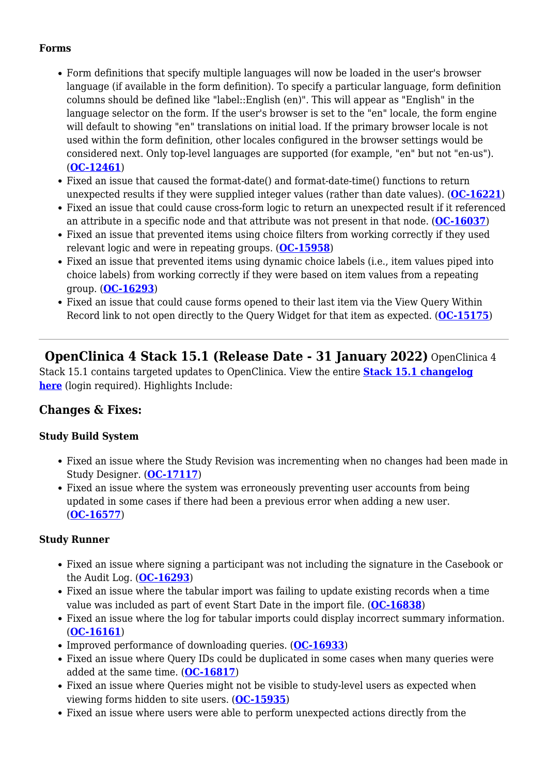#### **Forms**

- Form definitions that specify multiple languages will now be loaded in the user's browser language (if available in the form definition). To specify a particular language, form definition columns should be defined like "label::English (en)". This will appear as "English" in the language selector on the form. If the user's browser is set to the "en" locale, the form engine will default to showing "en" translations on initial load. If the primary browser locale is not used within the form definition, other locales configured in the browser settings would be considered next. Only top-level languages are supported (for example, "en" but not "en-us"). (**[OC-12461](https://jira.openclinica.com/browse/OC-12461)**)
- Fixed an issue that caused the format-date() and format-date-time() functions to return unexpected results if they were supplied integer values (rather than date values). (**[OC-16221](https://jira.openclinica.com/browse/OC-16221)**)
- Fixed an issue that could cause cross-form logic to return an unexpected result if it referenced an attribute in a specific node and that attribute was not present in that node. (**[OC-16037](https://jira.openclinica.com/browse/OC-16037)**)
- Fixed an issue that prevented items using choice filters from working correctly if they used relevant logic and were in repeating groups. (**[OC-15958](https://jira.openclinica.com/browse/OC-15958)**)
- Fixed an issue that prevented items using dynamic choice labels (i.e., item values piped into choice labels) from working correctly if they were based on item values from a repeating group. (**[OC-16293](https://jira.openclinica.com/browse/OC-16293)**)
- Fixed an issue that could cause forms opened to their last item via the View Query Within Record link to not open directly to the Query Widget for that item as expected. (**[OC-15175](https://jira.openclinica.com/browse/OC-15175)**)

 **OpenClinica 4 Stack 15.1 (Release Date - 31 January 2022)** OpenClinica 4 Stack 15.1 contains targeted updates to OpenClinica. View the entire **[Stack 15.1 changelog](https://jira.openclinica.com/browse/OC/fixforversion/13221) [here](https://jira.openclinica.com/browse/OC/fixforversion/13221)** (login required). Highlights Include:

## **Changes & Fixes:**

#### **Study Build System**

- Fixed an issue where the Study Revision was incrementing when no changes had been made in Study Designer. (**[OC-17117](https://jira.openclinica.com/browse/OC-17117)**)
- Fixed an issue where the system was erroneously preventing user accounts from being updated in some cases if there had been a previous error when adding a new user. (**[OC-16577](https://jira.openclinica.com/browse/OC-16577)**)

#### **Study Runner**

- Fixed an issue where signing a participant was not including the signature in the Casebook or the Audit Log. (**[OC-16293](https://jira.openclinica.com/browse/OC-16293)**)
- Fixed an issue where the tabular import was failing to update existing records when a time value was included as part of event Start Date in the import file. (**[OC-16838](https://jira.openclinica.com/browse/OC-16838)**)
- Fixed an issue where the log for tabular imports could display incorrect summary information. (**[OC-16161](https://jira.openclinica.com/browse/OC-16161)**)
- Improved performance of downloading queries. ([OC-16933](https://jira.openclinica.com/browse/OC-16933))
- Fixed an issue where Query IDs could be duplicated in some cases when many queries were added at the same time. (**[OC-16817](https://jira.openclinica.com/browse/OC-16817)**)
- Fixed an issue where Queries might not be visible to study-level users as expected when viewing forms hidden to site users. (**[OC-15935](https://jira.openclinica.com/browse/OC-15935)**)
- Fixed an issue where users were able to perform unexpected actions directly from the